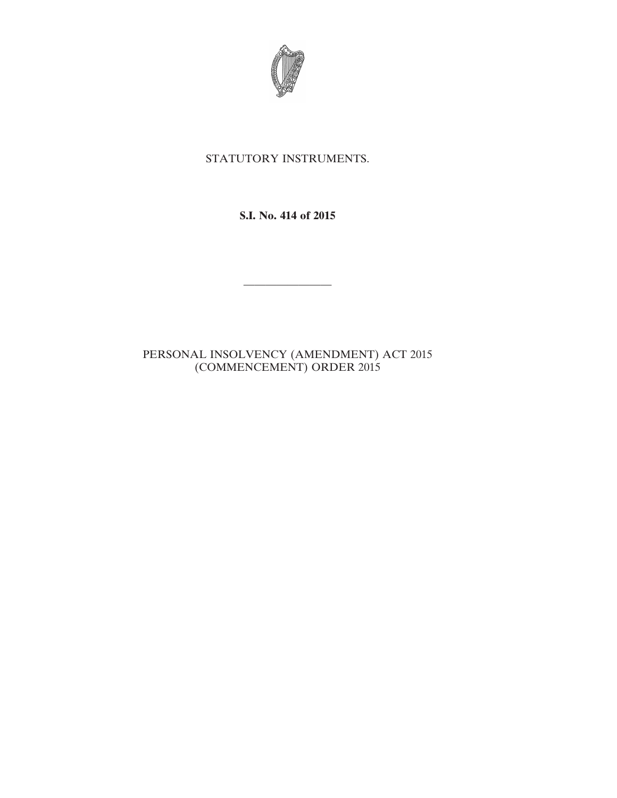

## STATUTORY INSTRUMENTS.

**S.I. No. 414 of 2015**

————————

## PERSONAL INSOLVENCY (AMENDMENT) ACT 2015 (COMMENCEMENT) ORDER 2015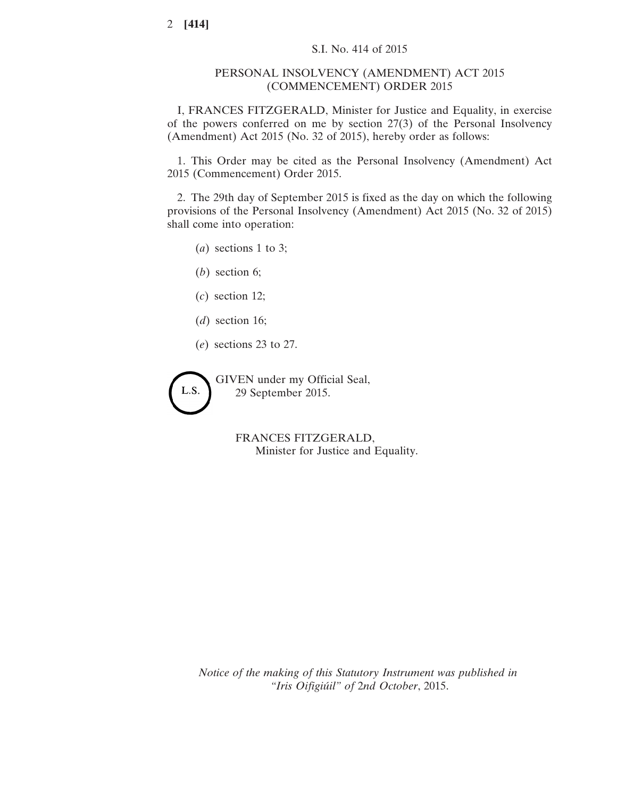## PERSONAL INSOLVENCY (AMENDMENT) ACT 2015 (COMMENCEMENT) ORDER 2015

I, FRANCES FITZGERALD, Minister for Justice and Equality, in exercise of the powers conferred on me by section 27(3) of the Personal Insolvency (Amendment) Act 2015 (No. 32 of 2015), hereby order as follows:

1. This Order may be cited as the Personal Insolvency (Amendment) Act 2015 (Commencement) Order 2015.

2. The 29th day of September 2015 is fixed as the day on which the following provisions of the Personal Insolvency (Amendment) Act 2015 (No. 32 of 2015) shall come into operation:

- (*a*) sections 1 to 3;
- (*b*) section 6;
- (*c*) section 12;
- (*d*) section 16;
- (*e*) sections 23 to 27.

L.S.

GIVEN under my Official Seal, 29 September 2015.

> FRANCES FITZGERALD, Minister for Justice and Equality.

*Notice of the making of this Statutory Instrument was published in "Iris Oifigiúil" of* 2*nd October*, 2015.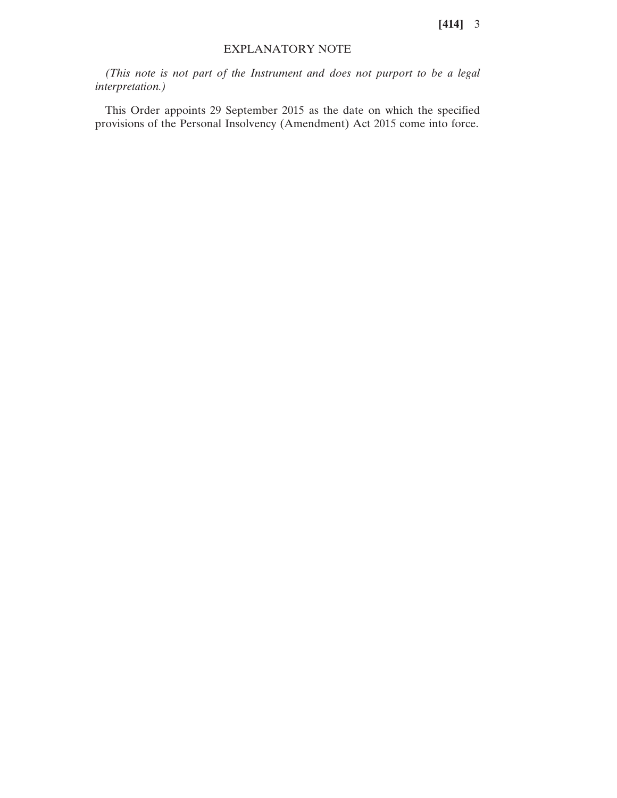**[414]** 3

## EXPLANATORY NOTE

*(This note is not part of the Instrument and does not purport to be a legal interpretation.)*

This Order appoints 29 September 2015 as the date on which the specified provisions of the Personal Insolvency (Amendment) Act 2015 come into force.